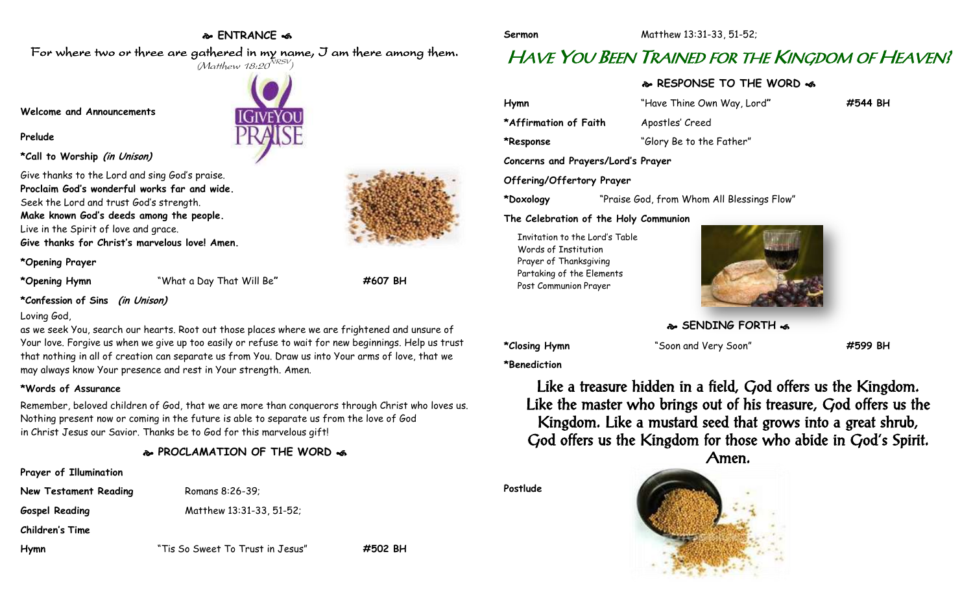#### **ENTRANCE**

For where two or three are gathered in my name, I am there among them.  $(M$ atthew 18:20 $^{NRSV})$ 

**Welcome and Announcements**

#### **Prelude**

**\*Call to Worship (in Unison)**

Give thanks to the Lord and sing God's praise. **Proclaim God's wonderful works far and wide.** Seek the Lord and trust God's strength. **Make known God's deeds among the people.** Live in the Spirit of love and grace. **Give thanks for Christ's marvelous love! Amen.**

**\*Opening Prayer**

**\*Opening Hymn** "What a Day That Will Be**" #607 BH**

#### **\*Confession of Sins (in Unison)**

#### Loving God,

as we seek You, search our hearts. Root out those places where we are frightened and unsure of Your love. Forgive us when we give up too easily or refuse to wait for new beginnings. Help us trust that nothing in all of creation can separate us from You. Draw us into Your arms of love, that we may always know Your presence and rest in Your strength. Amen.

#### **\*Words of Assurance**

Remember, beloved children of God, that we are more than conquerors through Christ who loves us. Nothing present now or coming in the future is able to separate us from the love of God in Christ Jesus our Savior. Thanks be to God for this marvelous gift!

### **PROCLAMATION OF THE WORD**

# **Prayer of Illumination**

**New Testament Reading** Romans 8:26-39;

**Gospel Reading** Matthew 13:31-33, 51-52;

**Children's Time**

**Hymn** "Tis So Sweet To Trust in Jesus" **#502 BH**

**Sermon** Matthew 13:31-33, 51-52;

# HAVE YOU BEEN TRAINED FOR THE KINGDOM OF HEAVEN!

## **RESPONSE TO THE WORD**

**Hymn** "Have Thine Own Way, Lord**" #544 BH** \*Affirmation of Faith Apostles' Creed **\*Response** "Glory Be to the Father" **Concerns and Prayers/Lord's Prayer Offering/Offertory Prayer \*Doxology** "Praise God, from Whom All Blessings Flow"

**The Celebration of the Holy Communion**

Invitation to the Lord's Table Words of Institution Prayer of Thanksgiving Partaking of the Elements Post Communion Prayer



**SENDING FORTH** 

**\*Closing Hymn** "Soon and Very Soon" **#599 BH**

**\*Benediction**

Like a treasure hidden in a field, God offers us the Kingdom. Like the master who brings out of his treasure, God offers us the Kingdom. Like a mustard seed that grows into a great shrub, God offers us the Kingdom for those who abide in God's Spirit. Amen.

**Postlude**